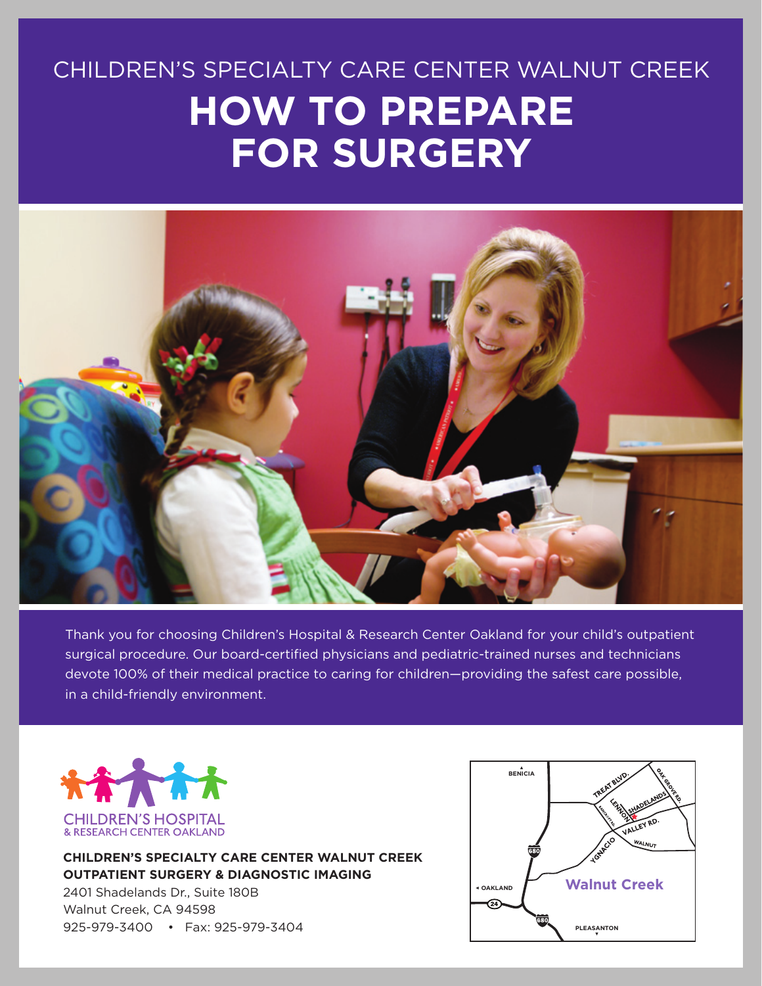# CHILDREN'S SPECIALTY CARE CENTER WALNUT CREEK **HOW TO PREPARE FOR SURGERY**



Thank you for choosing Children's Hospital & Research Center Oakland for your child's outpatient surgical procedure. Our board-certified physicians and pediatric-trained nurses and technicians devote 100% of their medical practice to caring for children—providing the safest care possible, in a child-friendly environment.



**CHILDREN'S SPECIALTY CARE CENTER WALNUT CREEK OUTPATIENT SURGERY & DIAGNOSTIC IMAGING**

2401 Shadelands Dr., Suite 180B Walnut Creek, CA 94598 925-979-3400 • Fax: 925-979-3404

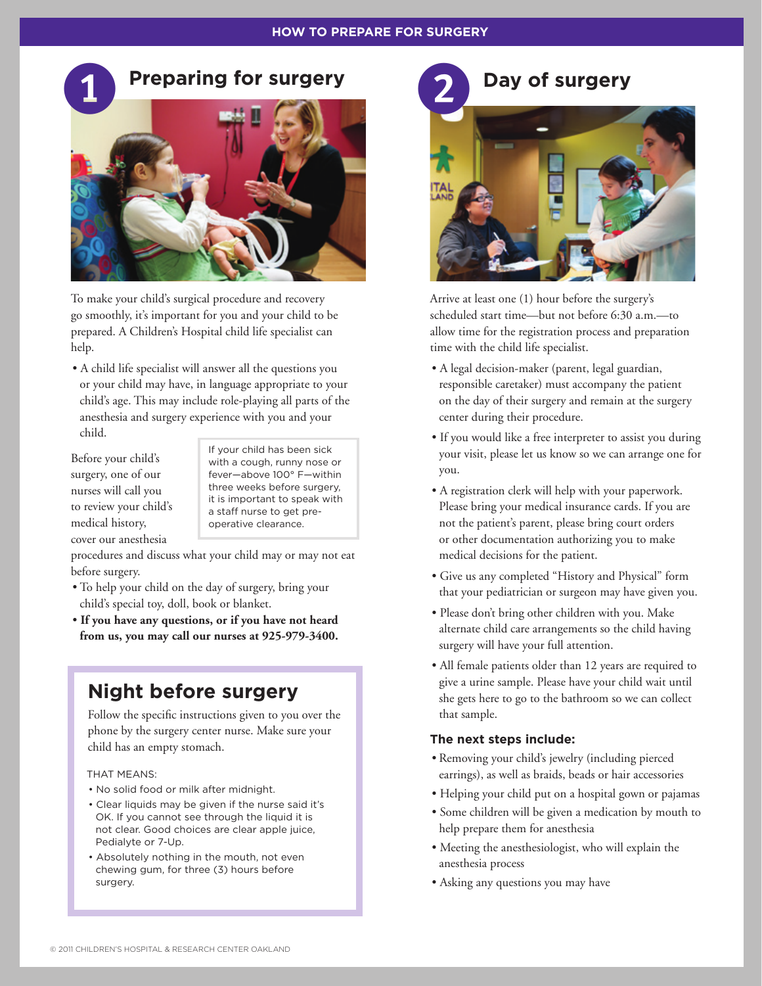#### **HOW TO PREPARE FOR SURGERY HOW TO PREPARE FOR SURGERY**

## **Preparing for surgery bay of surgery**



To make your child's surgical procedure and recovery go smoothly, it's important for you and your child to be prepared. A Children's Hospital child life specialist can help.

• A child life specialist will answer all the questions you or your child may have, in language appropriate to your child's age. This may include role-playing all parts of the anesthesia and surgery experience with you and your child.

Before your child's surgery, one of our nurses will call you to review your child's medical history, cover our anesthesia

If your child has been sick with a cough, runny nose or fever—above 100° F—within three weeks before surgery, it is important to speak with a staff nurse to get preoperative clearance.

procedures and discuss what your child may or may not eat before surgery.

- To help your child on the day of surgery, bring your child's special toy, doll, book or blanket.
- **If you have any questions, or if you have not heard from us, you may call our nurses at 925-979-3400.**

## **Night before surgery**

Follow the specific instructions given to you over the phone by the surgery center nurse. Make sure your child has an empty stomach.

#### THAT MEANS:

- No solid food or milk after midnight.
- Clear liquids may be given if the nurse said it's OK. If you cannot see through the liquid it is not clear. Good choices are clear apple juice, Pedialyte or 7-Up.
- Absolutely nothing in the mouth, not even chewing gum, for three (3) hours before surgery.



Arrive at least one (1) hour before the surgery's scheduled start time—but not before 6:30 a.m.—to allow time for the registration process and preparation time with the child life specialist.

- A legal decision-maker (parent, legal guardian, responsible caretaker) must accompany the patient on the day of their surgery and remain at the surgery center during their procedure.
- If you would like a free interpreter to assist you during your visit, please let us know so we can arrange one for you.
- A registration clerk will help with your paperwork. Please bring your medical insurance cards. If you are not the patient's parent, please bring court orders or other documentation authorizing you to make medical decisions for the patient.
- Give us any completed "History and Physical" form that your pediatrician or surgeon may have given you.
- Please don't bring other children with you. Make alternate child care arrangements so the child having surgery will have your full attention.
- All female patients older than 12 years are required to give a urine sample. Please have your child wait until she gets here to go to the bathroom so we can collect that sample.

## **The next steps include:**

- Removing your child's jewelry (including pierced earrings), as well as braids, beads or hair accessories
- Helping your child put on a hospital gown or pajamas
- Some children will be given a medication by mouth to help prepare them for anesthesia
- Meeting the anesthesiologist, who will explain the anesthesia process
- Asking any questions you may have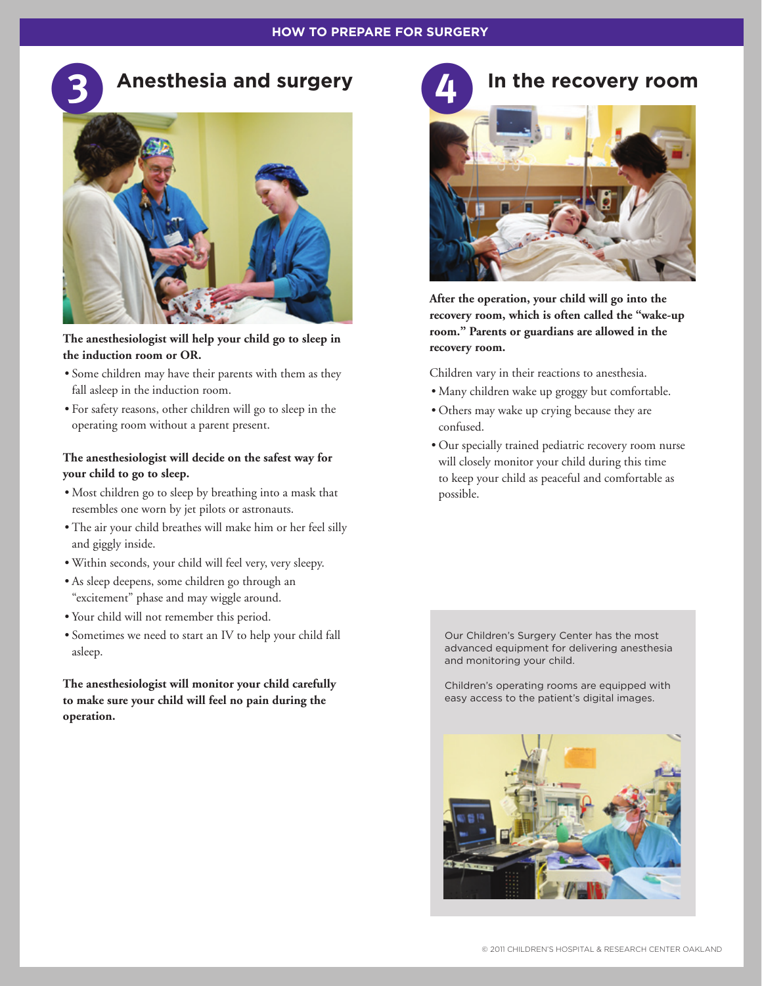

**The anesthesiologist will help your child go to sleep in the induction room or OR.** 

- Some children may have their parents with them as they fall asleep in the induction room.
- For safety reasons, other children will go to sleep in the operating room without a parent present.

## **The anesthesiologist will decide on the safest way for your child to go to sleep.**

- Most children go to sleep by breathing into a mask that resembles one worn by jet pilots or astronauts.
- The air your child breathes will make him or her feel silly and giggly inside.
- Within seconds, your child will feel very, very sleepy.
- As sleep deepens, some children go through an "excitement" phase and may wiggle around.
- Your child will not remember this period.
- Sometimes we need to start an IV to help your child fall asleep.

**The anesthesiologist will monitor your child carefully to make sure your child will feel no pain during the operation.**

## In the recovery room



**After the operation, your child will go into the recovery room, which is often called the "wake-up room." Parents or guardians are allowed in the recovery room.** 

Children vary in their reactions to anesthesia.

- Many children wake up groggy but comfortable.
- Others may wake up crying because they are confused.
- Our specially trained pediatric recovery room nurse will closely monitor your child during this time to keep your child as peaceful and comfortable as possible.

Our Children's Surgery Center has the most advanced equipment for delivering anesthesia and monitoring your child.

Children's operating rooms are equipped with easy access to the patient's digital images.